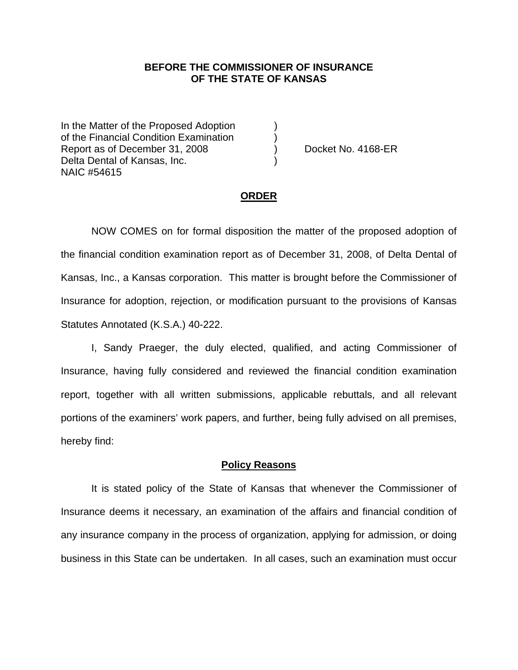# **BEFORE THE COMMISSIONER OF INSURANCE OF THE STATE OF KANSAS**

In the Matter of the Proposed Adoption of the Financial Condition Examination ) Report as of December 31, 2008 (a) Docket No. 4168-ER Delta Dental of Kansas, Inc. NAIC #54615

#### **ORDER**

 NOW COMES on for formal disposition the matter of the proposed adoption of the financial condition examination report as of December 31, 2008, of Delta Dental of Kansas, Inc., a Kansas corporation. This matter is brought before the Commissioner of Insurance for adoption, rejection, or modification pursuant to the provisions of Kansas Statutes Annotated (K.S.A.) 40-222.

 I, Sandy Praeger, the duly elected, qualified, and acting Commissioner of Insurance, having fully considered and reviewed the financial condition examination report, together with all written submissions, applicable rebuttals, and all relevant portions of the examiners' work papers, and further, being fully advised on all premises, hereby find:

#### **Policy Reasons**

 It is stated policy of the State of Kansas that whenever the Commissioner of Insurance deems it necessary, an examination of the affairs and financial condition of any insurance company in the process of organization, applying for admission, or doing business in this State can be undertaken. In all cases, such an examination must occur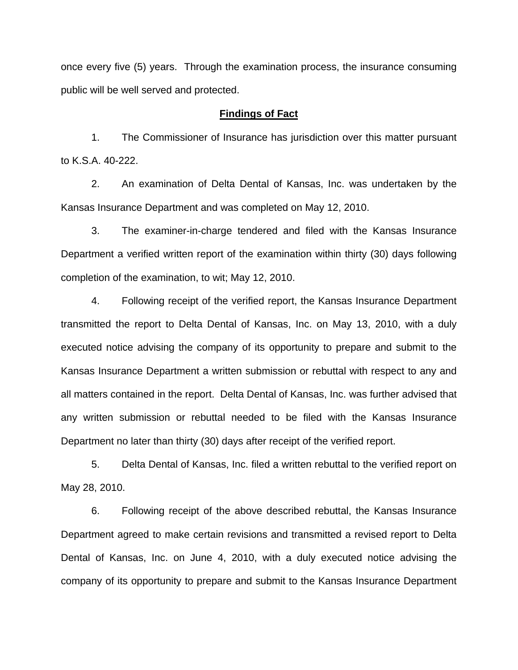once every five (5) years. Through the examination process, the insurance consuming public will be well served and protected.

### **Findings of Fact**

 1. The Commissioner of Insurance has jurisdiction over this matter pursuant to K.S.A. 40-222.

 2. An examination of Delta Dental of Kansas, Inc. was undertaken by the Kansas Insurance Department and was completed on May 12, 2010.

 3. The examiner-in-charge tendered and filed with the Kansas Insurance Department a verified written report of the examination within thirty (30) days following completion of the examination, to wit; May 12, 2010.

 4. Following receipt of the verified report, the Kansas Insurance Department transmitted the report to Delta Dental of Kansas, Inc. on May 13, 2010, with a duly executed notice advising the company of its opportunity to prepare and submit to the Kansas Insurance Department a written submission or rebuttal with respect to any and all matters contained in the report. Delta Dental of Kansas, Inc. was further advised that any written submission or rebuttal needed to be filed with the Kansas Insurance Department no later than thirty (30) days after receipt of the verified report.

 5. Delta Dental of Kansas, Inc. filed a written rebuttal to the verified report on May 28, 2010.

 6. Following receipt of the above described rebuttal, the Kansas Insurance Department agreed to make certain revisions and transmitted a revised report to Delta Dental of Kansas, Inc. on June 4, 2010, with a duly executed notice advising the company of its opportunity to prepare and submit to the Kansas Insurance Department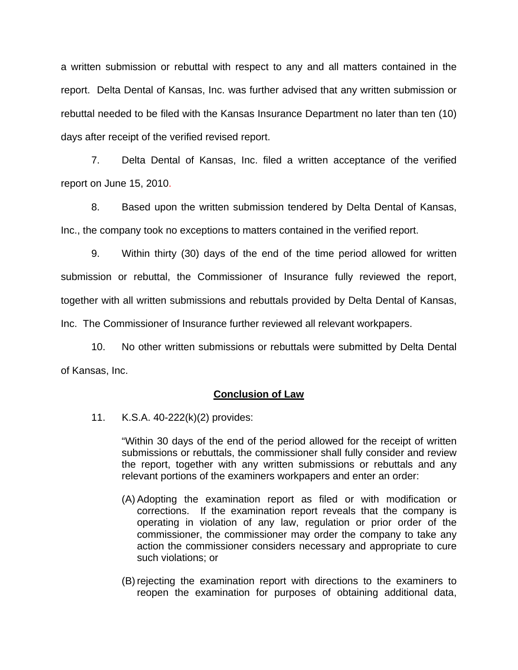a written submission or rebuttal with respect to any and all matters contained in the report. Delta Dental of Kansas, Inc. was further advised that any written submission or rebuttal needed to be filed with the Kansas Insurance Department no later than ten (10) days after receipt of the verified revised report.

 7. Delta Dental of Kansas, Inc. filed a written acceptance of the verified report on June 15, 2010.

8. Based upon the written submission tendered by Delta Dental of Kansas, Inc., the company took no exceptions to matters contained in the verified report.

 9. Within thirty (30) days of the end of the time period allowed for written submission or rebuttal, the Commissioner of Insurance fully reviewed the report, together with all written submissions and rebuttals provided by Delta Dental of Kansas, Inc. The Commissioner of Insurance further reviewed all relevant workpapers.

 10. No other written submissions or rebuttals were submitted by Delta Dental of Kansas, Inc.

## **Conclusion of Law**

11. K.S.A. 40-222(k)(2) provides:

"Within 30 days of the end of the period allowed for the receipt of written submissions or rebuttals, the commissioner shall fully consider and review the report, together with any written submissions or rebuttals and any relevant portions of the examiners workpapers and enter an order:

- (A) Adopting the examination report as filed or with modification or corrections. If the examination report reveals that the company is operating in violation of any law, regulation or prior order of the commissioner, the commissioner may order the company to take any action the commissioner considers necessary and appropriate to cure such violations; or
- (B) rejecting the examination report with directions to the examiners to reopen the examination for purposes of obtaining additional data,